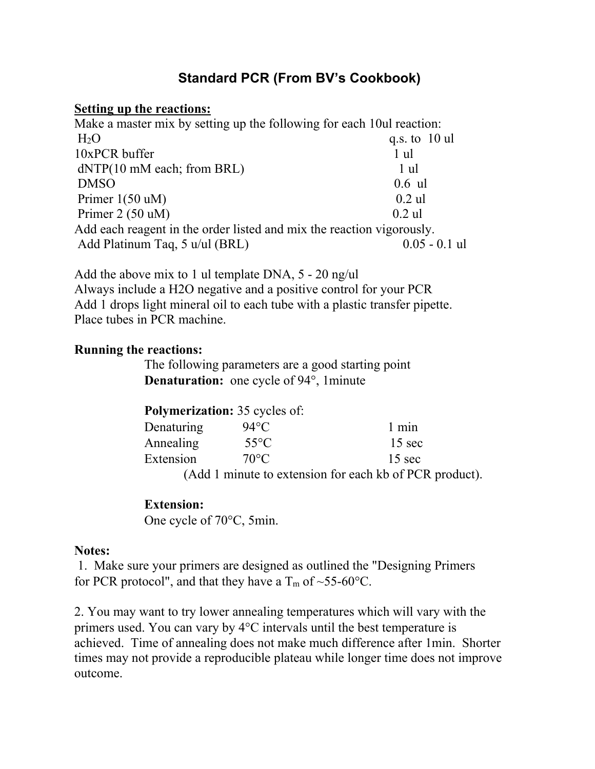# **Standard PCR (From BV's Cookbook)**

#### **Setting up the reactions:**

| Make a master mix by setting up the following for each 10ul reaction: |                 |
|-----------------------------------------------------------------------|-----------------|
| H <sub>2</sub> O                                                      | q.s. to $10$ ul |
| 10xPCR buffer                                                         | 1 ul            |
| $dNTP(10 \text{ mM each};$ from BRL)                                  | 1 ul            |
| <b>DMSO</b>                                                           | $0.6$ ul        |
| Primer $1(50 \text{ uM})$                                             | $0.2$ ul        |
| Primer $2(50 uM)$                                                     | $0.2$ ul        |
| Add each reagent in the order listed and mix the reaction vigorously. |                 |
| Add Platinum Taq, 5 u/ul (BRL)                                        | $0.05 - 0.1$ ul |

Add the above mix to 1 ul template DNA, 5 - 20 ng/ul Always include a H2O negative and a positive control for your PCR Add 1 drops light mineral oil to each tube with a plastic transfer pipette. Place tubes in PCR machine.

## **Running the reactions:**

The following parameters are a good starting point **Denaturation:** one cycle of 94°, 1minute

| <b>Polymerization:</b> 35 cycles of:                    |                |                  |
|---------------------------------------------------------|----------------|------------------|
| Denaturing                                              | 94°C           | $1$ min          |
| Annealing                                               | $55^{\circ}$ C | $15 \text{ sec}$ |
| Extension                                               | $70^{\circ}$ C | $15 \text{ sec}$ |
| (Add 1 minute to extension for each kb of PCR product). |                |                  |

## **Extension:**

One cycle of 70°C, 5min.

## **Notes:**

 1. Make sure your primers are designed as outlined the "Designing Primers for PCR protocol", and that they have a  $T_m$  of ~55-60°C.

2. You may want to try lower annealing temperatures which will vary with the primers used. You can vary by  $4^{\circ}$ C intervals until the best temperature is achieved. Time of annealing does not make much difference after 1min. Shorter times may not provide a reproducible plateau while longer time does not improve outcome.